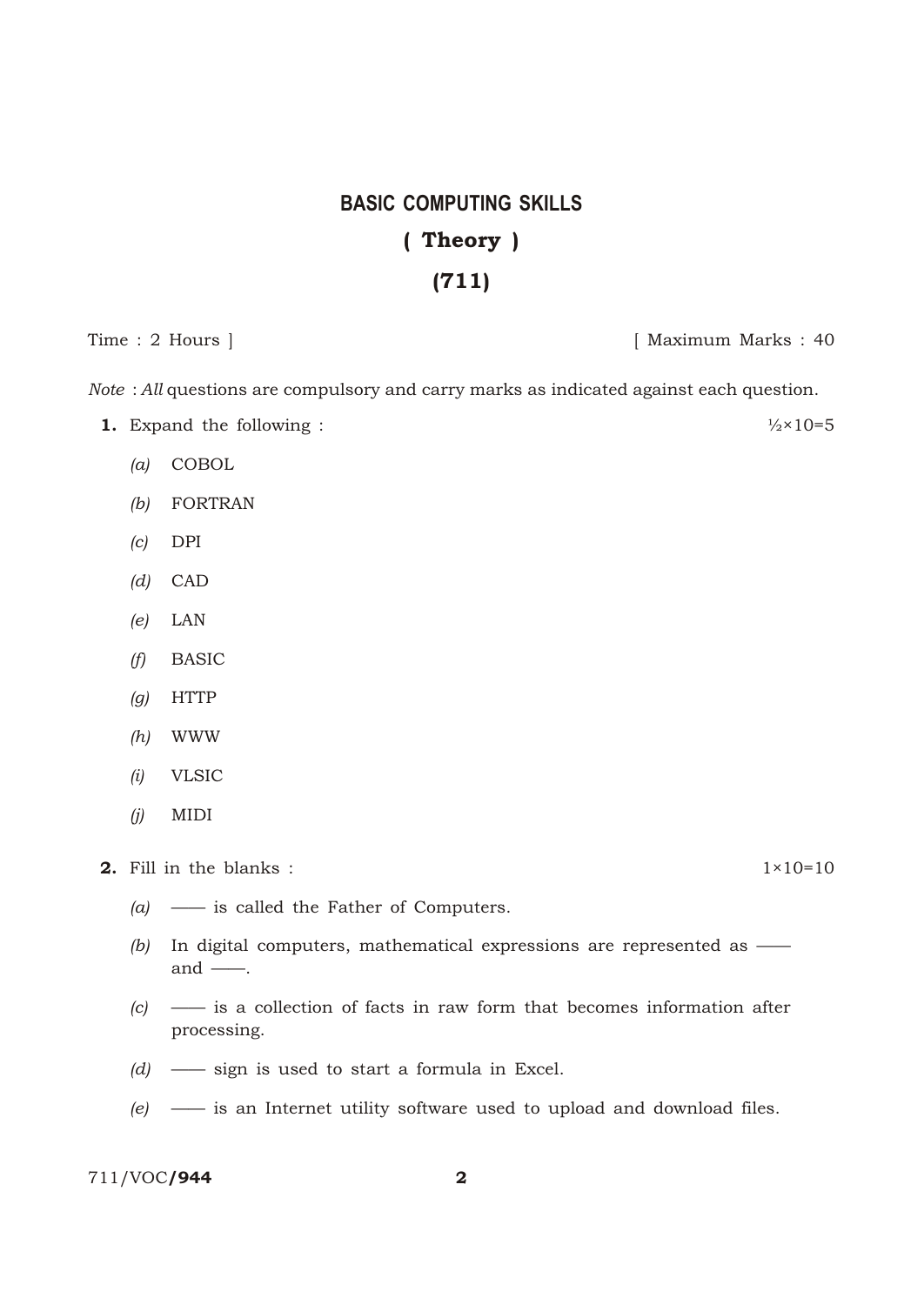## **BASIC COMPUTING SKILLS** (Theory) (711)

Time : 2 Hours ] [ Maximum Marks : 40

*Note* : *All* questions are compulsory and carry marks as indicated against each question.

- **1.** Expand the following :  $\frac{1}{2} \times 10 = 5$ 
	- *(a)* COBOL
	- *(b)* FORTRAN
	- *(c)* DPI
	- *(d)* CAD
	- *(e)* LAN
	- *(f)* BASIC
	- *(g)* HTTP
	- *(h)* WWW
	- *(i)* VLSIC
	- *(j)* MIDI

**2.** Fill in the blanks :  $1 \times 10 = 10$ 

- *(a)* —— is called the Father of Computers.
- *(b)* In digital computers, mathematical expressions are represented as and  $\_\_$ .
- *(c)* —— is a collection of facts in raw form that becomes information after processing.
- *(d)* —— sign is used to start a formula in Excel.
- *(e)* —— is an Internet utility software used to upload and download files.

711/VOC/944 2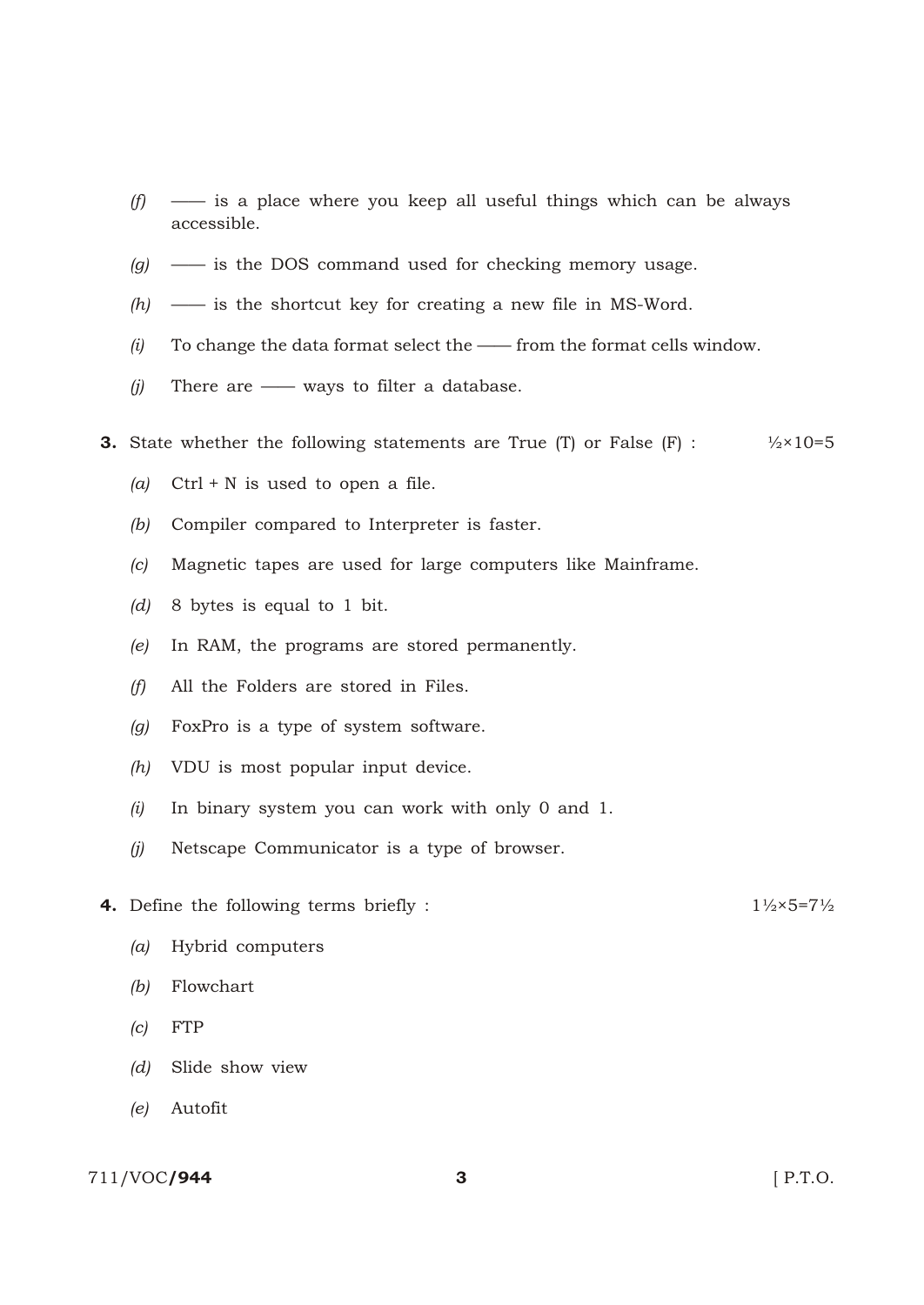- *(f)* —— is a place where you keep all useful things which can be always accessible.
- *(g)* —— is the DOS command used for checking memory usage.
- *(h)* —— is the shortcut key for creating a new file in MS-Word.
- *(i)* To change the data format select the —— from the format cells window.
- *(j)* There are —— ways to filter a database.
- **3.** State whether the following statements are True (T) or False  $(F)$  :  $\frac{1}{2} \times 10 = 5$ 
	- *(a)* Ctrl + N is used to open a file.
	- *(b)* Compiler compared to Interpreter is faster.
	- *(c)* Magnetic tapes are used for large computers like Mainframe.
	- *(d)* 8 bytes is equal to 1 bit.
	- *(e)* In RAM, the programs are stored permanently.
	- *(f)* All the Folders are stored in Files.
	- *(g)* FoxPro is a type of system software.
	- *(h)* VDU is most popular input device.
	- *(i)* In binary system you can work with only 0 and 1.
	- *(j)* Netscape Communicator is a type of browser.
- **4.** Define the following terms briefly :  $1\frac{1}{2} \times 5 = 7\frac{1}{2}$ 
	- *(a)* Hybrid computers
	- *(b)* Flowchart
	- *(c)* FTP
	- *(d)* Slide show view
	- *(e)* Autofit

## 711/VOC/**944** 3 **3 12.5 P.T.O.**